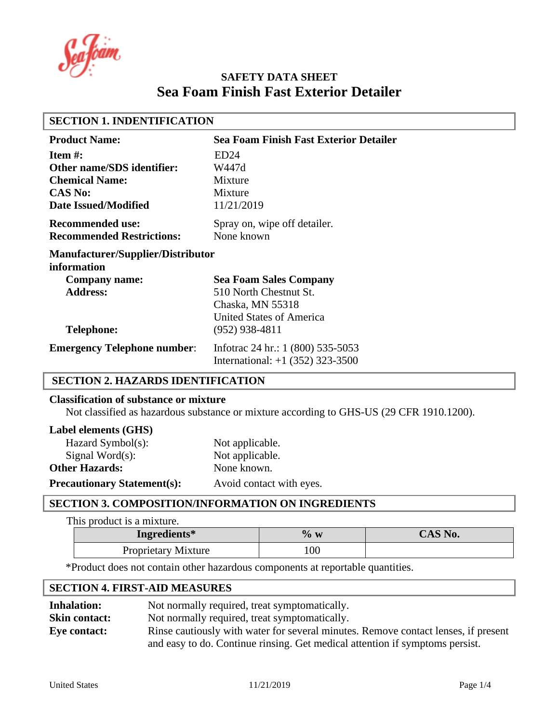a fóam

| <b>SECTION 1. INDENTIFICATION</b>                       |                                               |
|---------------------------------------------------------|-----------------------------------------------|
| <b>Product Name:</b>                                    | <b>Sea Foam Finish Fast Exterior Detailer</b> |
| Item $\#$ :                                             | ED24                                          |
| <b>Other name/SDS identifier:</b>                       | W447d                                         |
| <b>Chemical Name:</b>                                   | Mixture                                       |
| <b>CAS No:</b>                                          | Mixture                                       |
| <b>Date Issued/Modified</b>                             | 11/21/2019                                    |
| <b>Recommended use:</b>                                 | Spray on, wipe off detailer.                  |
| <b>Recommended Restrictions:</b>                        | None known                                    |
| <b>Manufacturer/Supplier/Distributor</b><br>information |                                               |
| Company name:                                           | <b>Sea Foam Sales Company</b>                 |
| <b>Address:</b>                                         | 510 North Chestnut St.                        |
|                                                         | Chaska, MN 55318                              |
|                                                         | <b>United States of America</b>               |
| <b>Telephone:</b>                                       | $(952)$ 938-4811                              |
| <b>Emergency Telephone number:</b>                      | Infotrac 24 hr.: 1 (800) 535-5053             |
|                                                         | International: $+1$ (352) 323-3500            |

# **SECTION 2. HAZARDS IDENTIFICATION**

#### **Classification of substance or mixture**

Not classified as hazardous substance or mixture according to GHS-US (29 CFR 1910.1200).

#### **Label elements (GHS)**

| Hazard Symbol(s):                  | Not applicable.          |
|------------------------------------|--------------------------|
| Signal Word $(s)$ :                | Not applicable.          |
| <b>Other Hazards:</b>              | None known.              |
| <b>Precautionary Statement(s):</b> | Avoid contact with eyes. |

# **SECTION 3. COMPOSITION/INFORMATION ON INGREDIENTS**

This product is a mixture.

| Ingredients*               | $\%$ w | CAS No. |
|----------------------------|--------|---------|
| <b>Proprietary Mixture</b> | 100    |         |

\*Product does not contain other hazardous components at reportable quantities.

# **SECTION 4. FIRST-AID MEASURES**

| <b>Inhalation:</b>   | Not normally required, treat symptomatically.                                      |
|----------------------|------------------------------------------------------------------------------------|
| <b>Skin contact:</b> | Not normally required, treat symptomatically.                                      |
| Eye contact:         | Rinse cautiously with water for several minutes. Remove contact lenses, if present |
|                      | and easy to do. Continue ringing. Get medical attention if symptoms persist.       |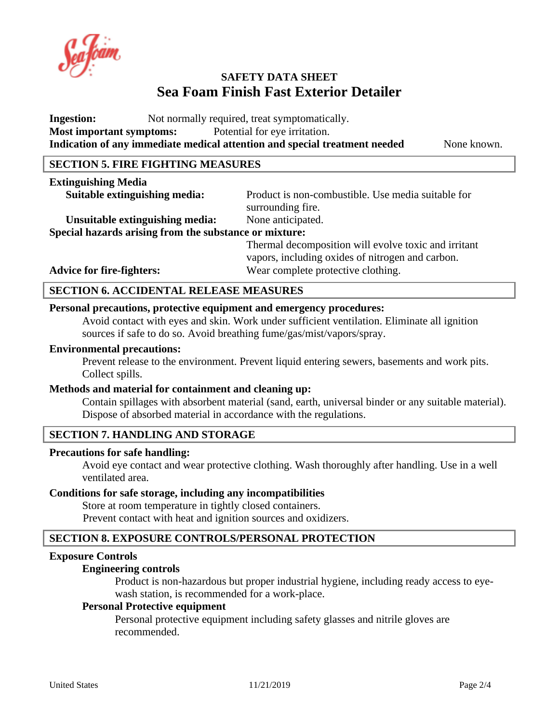**Ingestion:** Not normally required, treat symptomatically. **Most important symptoms:** Potential for eye irritation. **Indication of any immediate medical attention and special treatment needed** None known.

# **SECTION 5. FIRE FIGHTING MEASURES**

#### **Extinguishing Media**

**Suitable extinguishing media:** Product is non-combustible. Use media suitable for surrounding fire.

Unsuitable extinguishing media: None anticipated. **Special hazards arising from the substance or mixture:**

Thermal decomposition will evolve toxic and irritant vapors, including oxides of nitrogen and carbon. Advice for fire-fighters: Wear complete protective clothing.

## **SECTION 6. ACCIDENTAL RELEASE MEASURES**

# **Personal precautions, protective equipment and emergency procedures:**

Avoid contact with eyes and skin. Work under sufficient ventilation. Eliminate all ignition sources if safe to do so. Avoid breathing fume/gas/mist/vapors/spray.

#### **Environmental precautions:**

Prevent release to the environment. Prevent liquid entering sewers, basements and work pits. Collect spills.

#### **Methods and material for containment and cleaning up:**

Contain spillages with absorbent material (sand, earth, universal binder or any suitable material). Dispose of absorbed material in accordance with the regulations.

# **SECTION 7. HANDLING AND STORAGE**

#### **Precautions for safe handling:**

Avoid eye contact and wear protective clothing. Wash thoroughly after handling. Use in a well ventilated area.

#### **Conditions for safe storage, including any incompatibilities**

Store at room temperature in tightly closed containers. Prevent contact with heat and ignition sources and oxidizers.

# **SECTION 8. EXPOSURE CONTROLS/PERSONAL PROTECTION**

#### **Exposure Controls**

#### **Engineering controls**

Product is non-hazardous but proper industrial hygiene, including ready access to eyewash station, is recommended for a work-place.

## **Personal Protective equipment**

Personal protective equipment including safety glasses and nitrile gloves are recommended.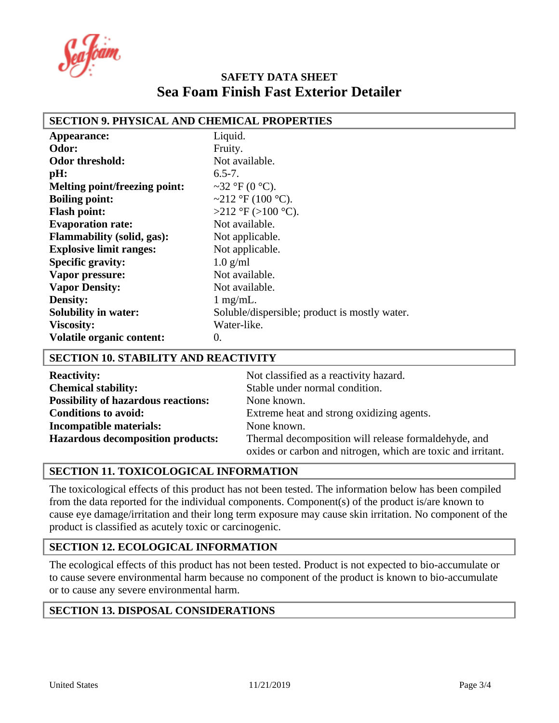a foam

| SECTION 9. PHYSICAL AND CHEMICAL PROPERTIES |                                               |
|---------------------------------------------|-----------------------------------------------|
| Appearance:                                 | Liquid.                                       |
| Odor:                                       | Fruity.                                       |
| Odor threshold:                             | Not available.                                |
| pH:                                         | $6.5 - 7.$                                    |
| <b>Melting point/freezing point:</b>        | ~32 °F (0 °C).                                |
| <b>Boiling point:</b>                       | ~212 °F (100 °C).                             |
| <b>Flash point:</b>                         | >212 °F (>100 °C).                            |
| <b>Evaporation rate:</b>                    | Not available.                                |
| <b>Flammability (solid, gas):</b>           | Not applicable.                               |
| <b>Explosive limit ranges:</b>              | Not applicable.                               |
| <b>Specific gravity:</b>                    | $1.0$ g/ml                                    |
| Vapor pressure:                             | Not available.                                |
| <b>Vapor Density:</b>                       | Not available.                                |
| <b>Density:</b>                             | $1$ mg/mL.                                    |
| <b>Solubility in water:</b>                 | Soluble/dispersible; product is mostly water. |
| <b>Viscosity:</b>                           | Water-like.                                   |
| <b>Volatile organic content:</b>            | 0.                                            |

# **SECTION 9. PHYSICAL AND CHEMICAL PROPERTIES**

## **SECTION 10. STABILITY AND REACTIVITY**

| <b>Reactivity:</b>                         | Not classified as a reactivity hazard.                       |
|--------------------------------------------|--------------------------------------------------------------|
| <b>Chemical stability:</b>                 | Stable under normal condition.                               |
| <b>Possibility of hazardous reactions:</b> | None known.                                                  |
| <b>Conditions to avoid:</b>                | Extreme heat and strong oxidizing agents.                    |
| Incompatible materials:                    | None known.                                                  |
| <b>Hazardous decomposition products:</b>   | Thermal decomposition will release formaldehyde, and         |
|                                            | oxides or carbon and nitrogen, which are toxic and irritant. |

# **SECTION 11. TOXICOLOGICAL INFORMATION**

The toxicological effects of this product has not been tested. The information below has been compiled from the data reported for the individual components. Component(s) of the product is/are known to cause eye damage/irritation and their long term exposure may cause skin irritation. No component of the product is classified as acutely toxic or carcinogenic.

# **SECTION 12. ECOLOGICAL INFORMATION**

The ecological effects of this product has not been tested. Product is not expected to bio-accumulate or to cause severe environmental harm because no component of the product is known to bio-accumulate or to cause any severe environmental harm.

# **SECTION 13. DISPOSAL CONSIDERATIONS**